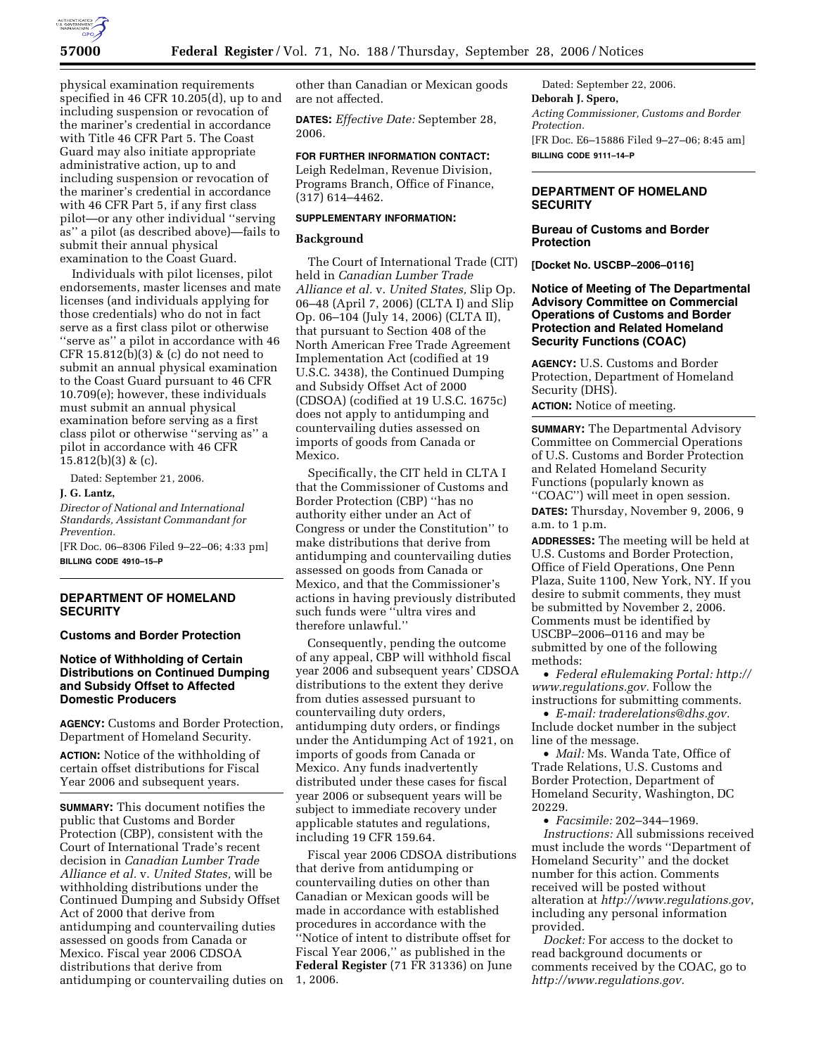

physical examination requirements specified in 46 CFR 10.205(d), up to and including suspension or revocation of the mariner's credential in accordance with Title 46 CFR Part 5. The Coast Guard may also initiate appropriate administrative action, up to and including suspension or revocation of the mariner's credential in accordance with 46 CFR Part 5, if any first class pilot—or any other individual ''serving as'' a pilot (as described above)—fails to submit their annual physical examination to the Coast Guard.

Individuals with pilot licenses, pilot endorsements, master licenses and mate licenses (and individuals applying for those credentials) who do not in fact serve as a first class pilot or otherwise ''serve as'' a pilot in accordance with 46 CFR 15.812(b)(3) & (c) do not need to submit an annual physical examination to the Coast Guard pursuant to 46 CFR 10.709(e); however, these individuals must submit an annual physical examination before serving as a first class pilot or otherwise ''serving as'' a pilot in accordance with 46 CFR  $15.812(b)(3)$  & (c).

Dated: September 21, 2006.

# **J. G. Lantz,**

*Director of National and International Standards, Assistant Commandant for Prevention.* 

[FR Doc. 06–8306 Filed 9–22–06; 4:33 pm] **BILLING CODE 4910–15–P** 

### **DEPARTMENT OF HOMELAND SECURITY**

### **Customs and Border Protection**

## **Notice of Withholding of Certain Distributions on Continued Dumping and Subsidy Offset to Affected Domestic Producers**

**AGENCY:** Customs and Border Protection, Department of Homeland Security.

**ACTION:** Notice of the withholding of certain offset distributions for Fiscal Year 2006 and subsequent years.

**SUMMARY:** This document notifies the public that Customs and Border Protection (CBP), consistent with the Court of International Trade's recent decision in *Canadian Lumber Trade Alliance et al.* v. *United States,* will be withholding distributions under the Continued Dumping and Subsidy Offset Act of 2000 that derive from antidumping and countervailing duties assessed on goods from Canada or Mexico. Fiscal year 2006 CDSOA distributions that derive from antidumping or countervailing duties on

other than Canadian or Mexican goods are not affected.

**DATES:** *Effective Date:* September 28, 2006.

### **FOR FURTHER INFORMATION CONTACT:**

Leigh Redelman, Revenue Division, Programs Branch, Office of Finance, (317) 614–4462.

# **SUPPLEMENTARY INFORMATION:**

### **Background**

The Court of International Trade (CIT) held in *Canadian Lumber Trade Alliance et al.* v. *United States,* Slip Op. 06–48 (April 7, 2006) (CLTA I) and Slip Op. 06–104 (July 14, 2006) (CLTA II), that pursuant to Section 408 of the North American Free Trade Agreement Implementation Act (codified at 19 U.S.C. 3438), the Continued Dumping and Subsidy Offset Act of 2000 (CDSOA) (codified at 19 U.S.C. 1675c) does not apply to antidumping and countervailing duties assessed on imports of goods from Canada or Mexico.

Specifically, the CIT held in CLTA I that the Commissioner of Customs and Border Protection (CBP) ''has no authority either under an Act of Congress or under the Constitution'' to make distributions that derive from antidumping and countervailing duties assessed on goods from Canada or Mexico, and that the Commissioner's actions in having previously distributed such funds were ''ultra vires and therefore unlawful.''

Consequently, pending the outcome of any appeal, CBP will withhold fiscal year 2006 and subsequent years' CDSOA distributions to the extent they derive from duties assessed pursuant to countervailing duty orders, antidumping duty orders, or findings under the Antidumping Act of 1921, on imports of goods from Canada or Mexico. Any funds inadvertently distributed under these cases for fiscal year 2006 or subsequent years will be subject to immediate recovery under applicable statutes and regulations, including 19 CFR 159.64.

Fiscal year 2006 CDSOA distributions that derive from antidumping or countervailing duties on other than Canadian or Mexican goods will be made in accordance with established procedures in accordance with the ''Notice of intent to distribute offset for Fiscal Year 2006,'' as published in the **Federal Register** (71 FR 31336) on June 1, 2006.

Dated: September 22, 2006. **Deborah J. Spero,**  *Acting Commissioner, Customs and Border Protection.*  [FR Doc. E6–15886 Filed 9–27–06; 8:45 am] **BILLING CODE 9111–14–P** 

# **DEPARTMENT OF HOMELAND SECURITY**

## **Bureau of Customs and Border Protection**

**[Docket No. USCBP–2006–0116]** 

## **Notice of Meeting of The Departmental Advisory Committee on Commercial Operations of Customs and Border Protection and Related Homeland Security Functions (COAC)**

**AGENCY:** U.S. Customs and Border Protection, Department of Homeland Security (DHS).

**ACTION:** Notice of meeting.

**SUMMARY:** The Departmental Advisory Committee on Commercial Operations of U.S. Customs and Border Protection and Related Homeland Security Functions (popularly known as ''COAC'') will meet in open session.

**DATES:** Thursday, November 9, 2006, 9 a.m. to 1 p.m.

**ADDRESSES:** The meeting will be held at U.S. Customs and Border Protection, Office of Field Operations, One Penn Plaza, Suite 1100, New York, NY. If you desire to submit comments, they must be submitted by November 2, 2006. Comments must be identified by USCBP–2006–0116 and may be submitted by one of the following methods:

• *Federal eRulemaking Portal: http:// www.regulations.gov.* Follow the instructions for submitting comments.

• *E-mail: traderelations@dhs.gov.*  Include docket number in the subject line of the message.

• *Mail:* Ms. Wanda Tate, Office of Trade Relations, U.S. Customs and Border Protection, Department of Homeland Security, Washington, DC 20229.

• *Facsimile:* 202–344–1969. *Instructions:* All submissions received must include the words ''Department of Homeland Security'' and the docket number for this action. Comments received will be posted without alteration at *http://www.regulations.gov*, including any personal information provided.

*Docket:* For access to the docket to read background documents or comments received by the COAC, go to *http://www.regulations.gov.*